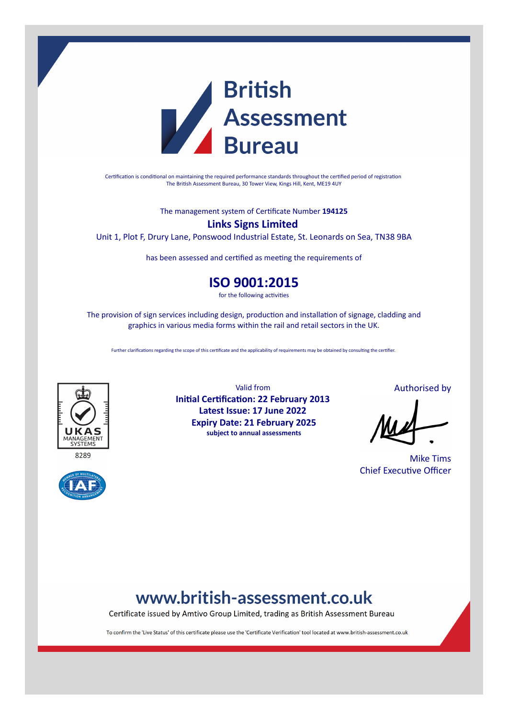

Certification is conditional on maintaining the required performance standards throughout the certified period of registration The British Assessment Bureau, 30 Tower View, Kings Hill, Kent, ME19 4UY

The management system of Certificate Number **194125**

### **Links Signs Limited**

Unit 1, Plot F, Drury Lane, Ponswood Industrial Estate, St. Leonards on Sea, TN38 9BA

has been assessed and certified as meeting the requirements of

### **ISO 9001:2015**

for the following activities

The provision of sign services including design, production and installation of signage, cladding and graphics in various media forms within the rail and retail sectors in the UK.

Further clarifications regarding the scope of this certificate and the applicability of requirements may be obtained by consulting the certifier.





Valid from **Initial Certification: 22 February 2013 Latest Issue: 17 June 2022 Expiry Date: 21 February 2025 subject to annual assessments**

Authorised by

Mike Tims Chief Executive Officer

## www.british-assessment.co.uk

Certificate issued by Amtivo Group Limited, trading as British Assessment Bureau

To confirm the 'Live Status' of this certificate please use the 'Certificate Verification' tool located at www.british-assessment.co.uk